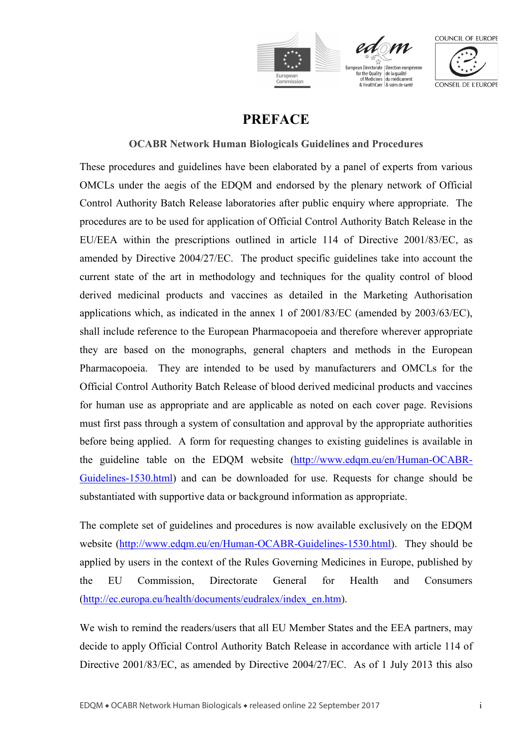





## **PREFACE**

### **OCABR Network Human Biologicals Guidelines and Procedures**

These procedures and guidelines have been elaborated by a panel of experts from various OMCLs under the aegis of the EDQM and endorsed by the plenary network of Official Control Authority Batch Release laboratories after public enquiry where appropriate. The procedures are to be used for application of Official Control Authority Batch Release in the EU/EEA within the prescriptions outlined in article 114 of Directive 2001/83/EC, as amended by Directive 2004/27/EC. The product specific guidelines take into account the current state of the art in methodology and techniques for the quality control of blood derived medicinal products and vaccines as detailed in the Marketing Authorisation applications which, as indicated in the annex 1 of 2001/83/EC (amended by 2003/63/EC), shall include reference to the European Pharmacopoeia and therefore wherever appropriate they are based on the monographs, general chapters and methods in the European Pharmacopoeia. They are intended to be used by manufacturers and OMCLs for the Official Control Authority Batch Release of blood derived medicinal products and vaccines for human use as appropriate and are applicable as noted on each cover page. Revisions must first pass through a system of consultation and approval by the appropriate authorities before being applied. A form for requesting changes to existing guidelines is available in the guideline table on the EDQM website [\(http://www.edqm.eu/en/Human-OCABR-](http://www.edqm.eu/en/Human-OCABR-Guidelines-1530.html)[Guidelines-1530.html\)](http://www.edqm.eu/en/Human-OCABR-Guidelines-1530.html) and can be downloaded for use. Requests for change should be substantiated with supportive data or background information as appropriate.

The complete set of guidelines and procedures is now available exclusively on the EDQM website [\(http://www.edqm.eu/en/Human-OCABR-Guidelines-1530.html\)](http://www.edqm.eu/en/Human-OCABR-Guidelines-1530.html). They should be applied by users in the context of the Rules Governing Medicines in Europe, published by the EU Commission, Directorate General for Health and Consumers [\(http://ec.europa.eu/health/documents/eudralex/index\\_en.htm\)](http://ec.europa.eu/health/documents/eudralex/index_en.htm).

We wish to remind the readers/users that all EU Member States and the EEA partners, may decide to apply Official Control Authority Batch Release in accordance with article 114 of Directive 2001/83/EC, as amended by Directive 2004/27/EC. As of 1 July 2013 this also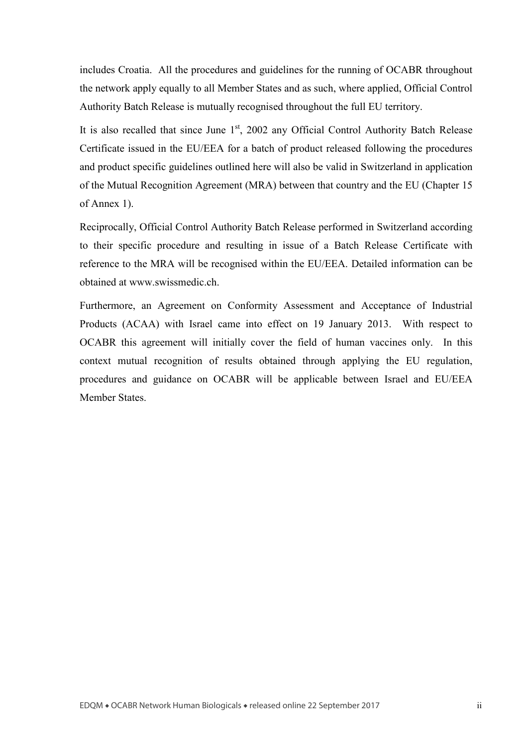includes Croatia. All the procedures and guidelines for the running of OCABR throughout the network apply equally to all Member States and as such, where applied, Official Control Authority Batch Release is mutually recognised throughout the full EU territory.

It is also recalled that since June  $1<sup>st</sup>$ , 2002 any Official Control Authority Batch Release Certificate issued in the EU/EEA for a batch of product released following the procedures and product specific guidelines outlined here will also be valid in Switzerland in application of the Mutual Recognition Agreement (MRA) between that country and the EU (Chapter 15 of Annex 1).

Reciprocally, Official Control Authority Batch Release performed in Switzerland according to their specific procedure and resulting in issue of a Batch Release Certificate with reference to the MRA will be recognised within the EU/EEA. Detailed information can be obtained at www.swissmedic.ch

Furthermore, an Agreement on Conformity Assessment and Acceptance of Industrial Products (ACAA) with Israel came into effect on 19 January 2013. With respect to OCABR this agreement will initially cover the field of human vaccines only. In this context mutual recognition of results obtained through applying the EU regulation, procedures and guidance on OCABR will be applicable between Israel and EU/EEA Member States.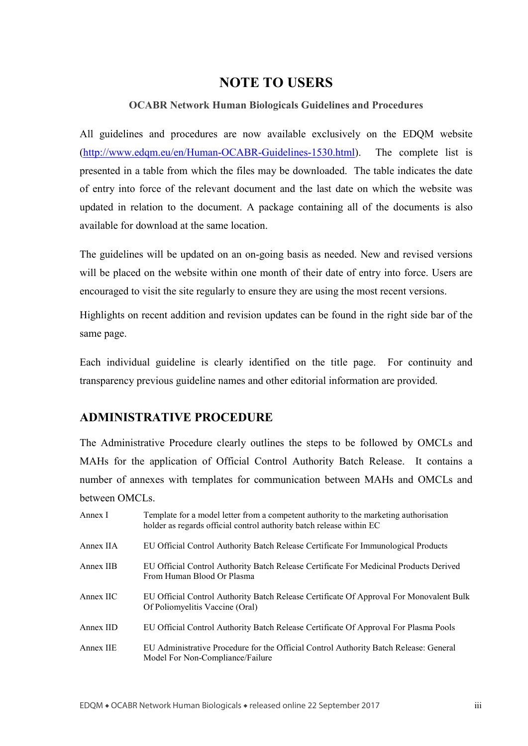# **NOTE TO USERS**

#### **OCABR Network Human Biologicals Guidelines and Procedures**

All guidelines and procedures are now available exclusively on the EDQM website [\(http://www.edqm.eu/en/Human-OCABR-Guidelines-1530.html\)](http://www.edqm.eu/en/Human-OCABR-Guidelines-1530.html). The complete list is presented in a table from which the files may be downloaded. The table indicates the date of entry into force of the relevant document and the last date on which the website was updated in relation to the document. A package containing all of the documents is also available for download at the same location.

The guidelines will be updated on an on-going basis as needed. New and revised versions will be placed on the website within one month of their date of entry into force. Users are encouraged to visit the site regularly to ensure they are using the most recent versions.

Highlights on recent addition and revision updates can be found in the right side bar of the same page.

Each individual guideline is clearly identified on the title page. For continuity and transparency previous guideline names and other editorial information are provided.

## **ADMINISTRATIVE PROCEDURE**

The Administrative Procedure clearly outlines the steps to be followed by OMCLs and MAHs for the application of Official Control Authority Batch Release. It contains a number of annexes with templates for communication between MAHs and OMCLs and between OMCLs.

| Annex I   | Template for a model letter from a competent authority to the marketing authorisation<br>holder as regards official control authority batch release within EC |
|-----------|---------------------------------------------------------------------------------------------------------------------------------------------------------------|
| Annex IIA | EU Official Control Authority Batch Release Certificate For Immunological Products                                                                            |
| Annex IIB | EU Official Control Authority Batch Release Certificate For Medicinal Products Derived<br>From Human Blood Or Plasma                                          |
| Annex IIC | EU Official Control Authority Batch Release Certificate Of Approval For Monovalent Bulk<br>Of Poliomyelitis Vaccine (Oral)                                    |
| Annex IID | EU Official Control Authority Batch Release Certificate Of Approval For Plasma Pools                                                                          |
| Annex IIE | EU Administrative Procedure for the Official Control Authority Batch Release: General<br>Model For Non-Compliance/Failure                                     |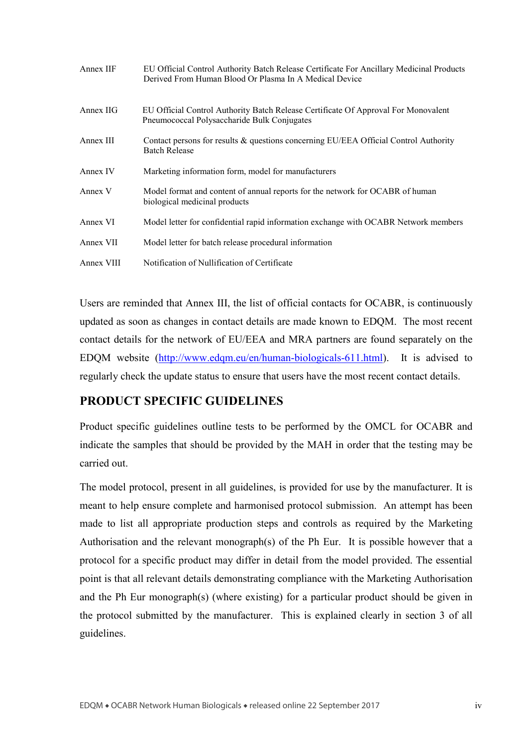| Annex IIF  | EU Official Control Authority Batch Release Certificate For Ancillary Medicinal Products<br>Derived From Human Blood Or Plasma In A Medical Device |
|------------|----------------------------------------------------------------------------------------------------------------------------------------------------|
| Annex IIG  | EU Official Control Authority Batch Release Certificate Of Approval For Monovalent<br>Pneumococcal Polysaccharide Bulk Conjugates                  |
| Annex III  | Contact persons for results & questions concerning EU/EEA Official Control Authority<br><b>Batch Release</b>                                       |
| Annex IV   | Marketing information form, model for manufacturers                                                                                                |
| Annex V    | Model format and content of annual reports for the network for OCABR of human<br>biological medicinal products                                     |
| Annex VI   | Model letter for confidential rapid information exchange with OCABR Network members                                                                |
| Annex VII  | Model letter for batch release procedural information                                                                                              |
| Annex VIII | Notification of Nullification of Certificate                                                                                                       |

Users are reminded that Annex III, the list of official contacts for OCABR, is continuously updated as soon as changes in contact details are made known to EDQM. The most recent contact details for the network of EU/EEA and MRA partners are found separately on the EDQM website [\(http://www.edqm.eu/en/human-biologicals-611.html\)](http://www.edqm.eu/en/human-biologicals-611.html). It is advised to regularly check the update status to ensure that users have the most recent contact details.

## **PRODUCT SPECIFIC GUIDELINES**

Product specific guidelines outline tests to be performed by the OMCL for OCABR and indicate the samples that should be provided by the MAH in order that the testing may be carried out.

The model protocol, present in all guidelines, is provided for use by the manufacturer. It is meant to help ensure complete and harmonised protocol submission. An attempt has been made to list all appropriate production steps and controls as required by the Marketing Authorisation and the relevant monograph(s) of the Ph Eur. It is possible however that a protocol for a specific product may differ in detail from the model provided. The essential point is that all relevant details demonstrating compliance with the Marketing Authorisation and the Ph Eur monograph(s) (where existing) for a particular product should be given in the protocol submitted by the manufacturer. This is explained clearly in section 3 of all guidelines.